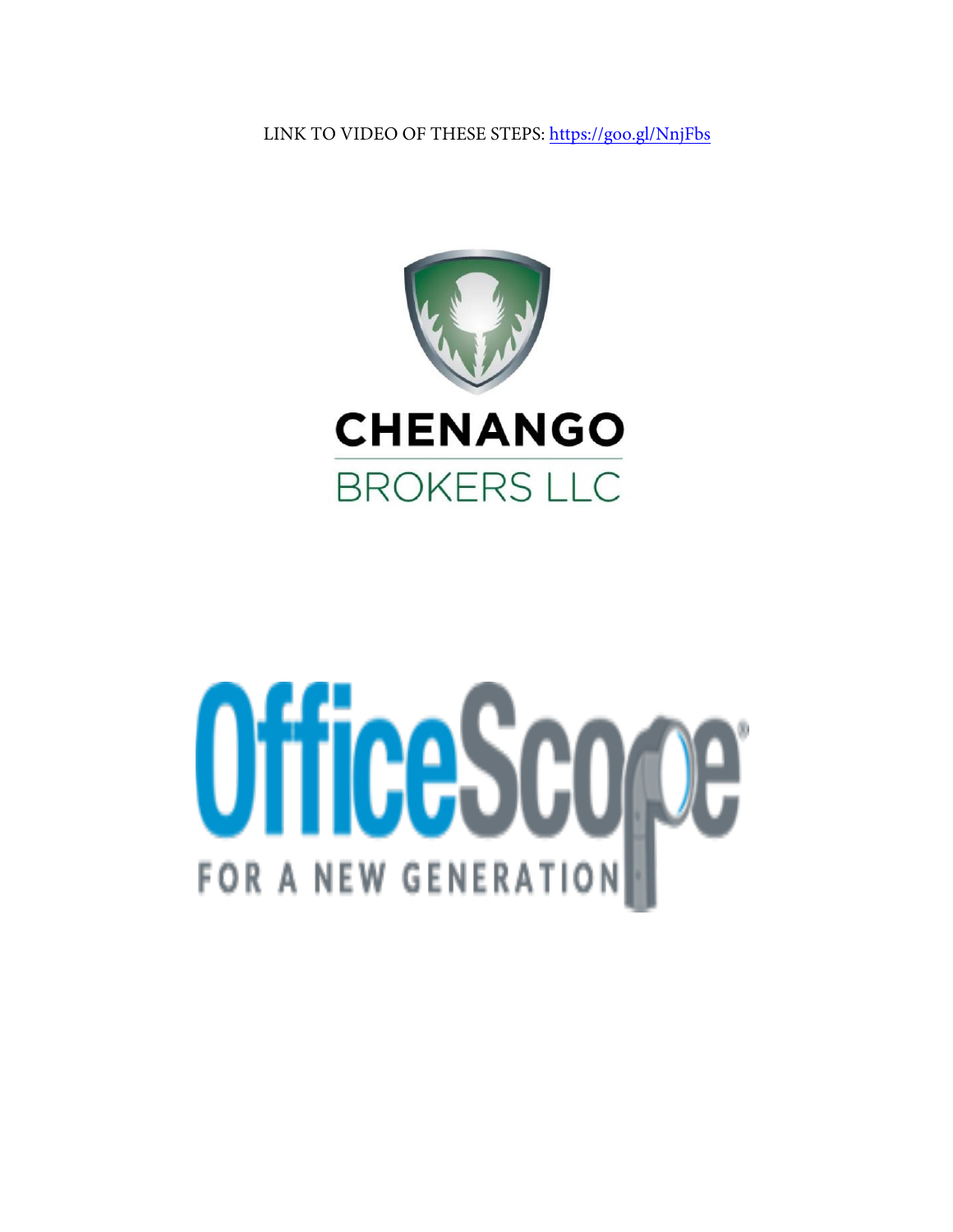LINK TO VIDEO OF THESE STEPS:<https://goo.gl/NnjFbs>



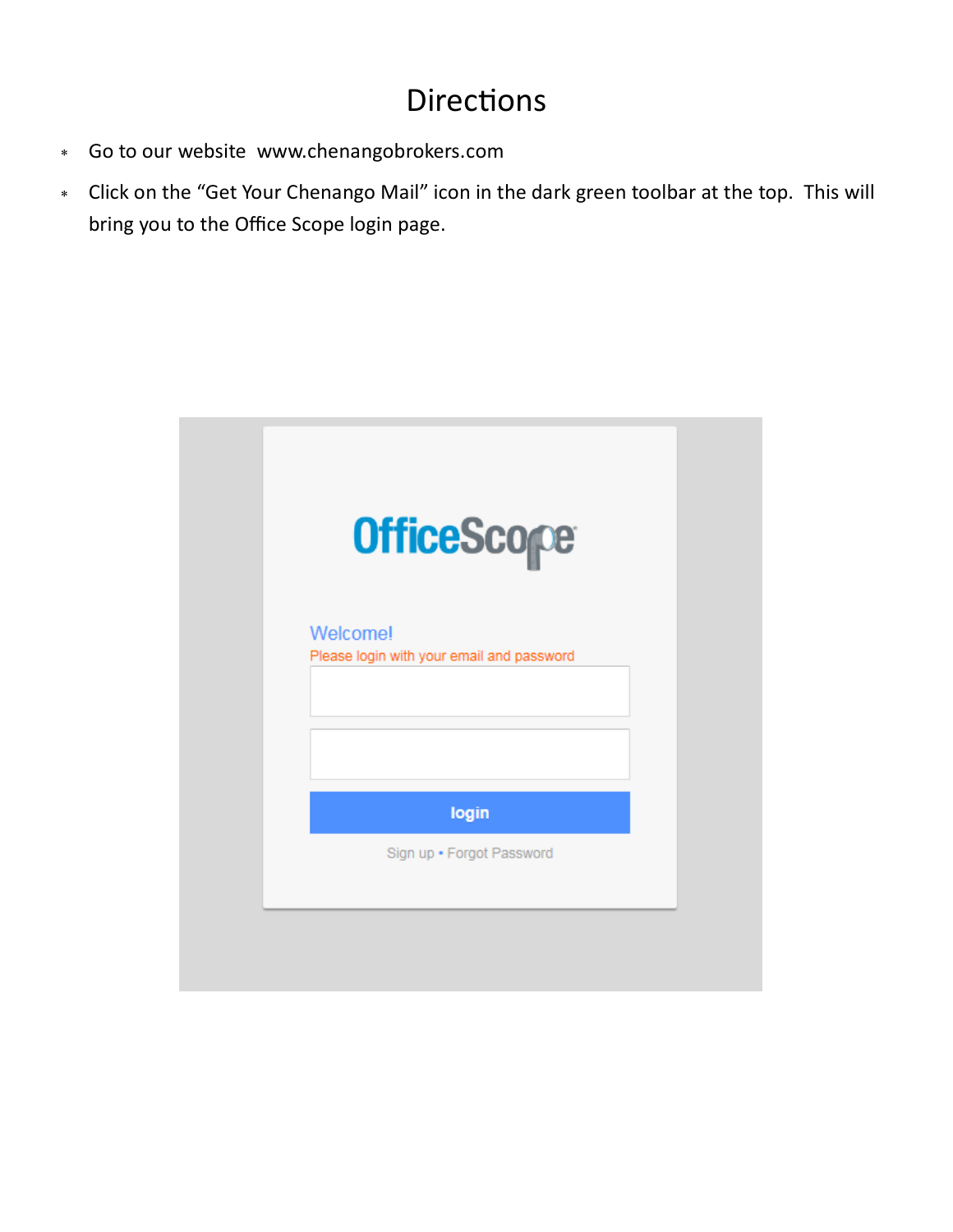## **Directions**

- Go to our website [www.chenangobrokers.com](http://www.chenangobrokers.com)
- Click on the "Get Your Chenango Mail" icon in the dark green toolbar at the top. This will bring you to the Office Scope login page.

|                                                              | <b>OfficeScope</b> |
|--------------------------------------------------------------|--------------------|
| <b>Welcome!</b><br>Please login with your email and password |                    |
|                                                              |                    |
| login                                                        |                    |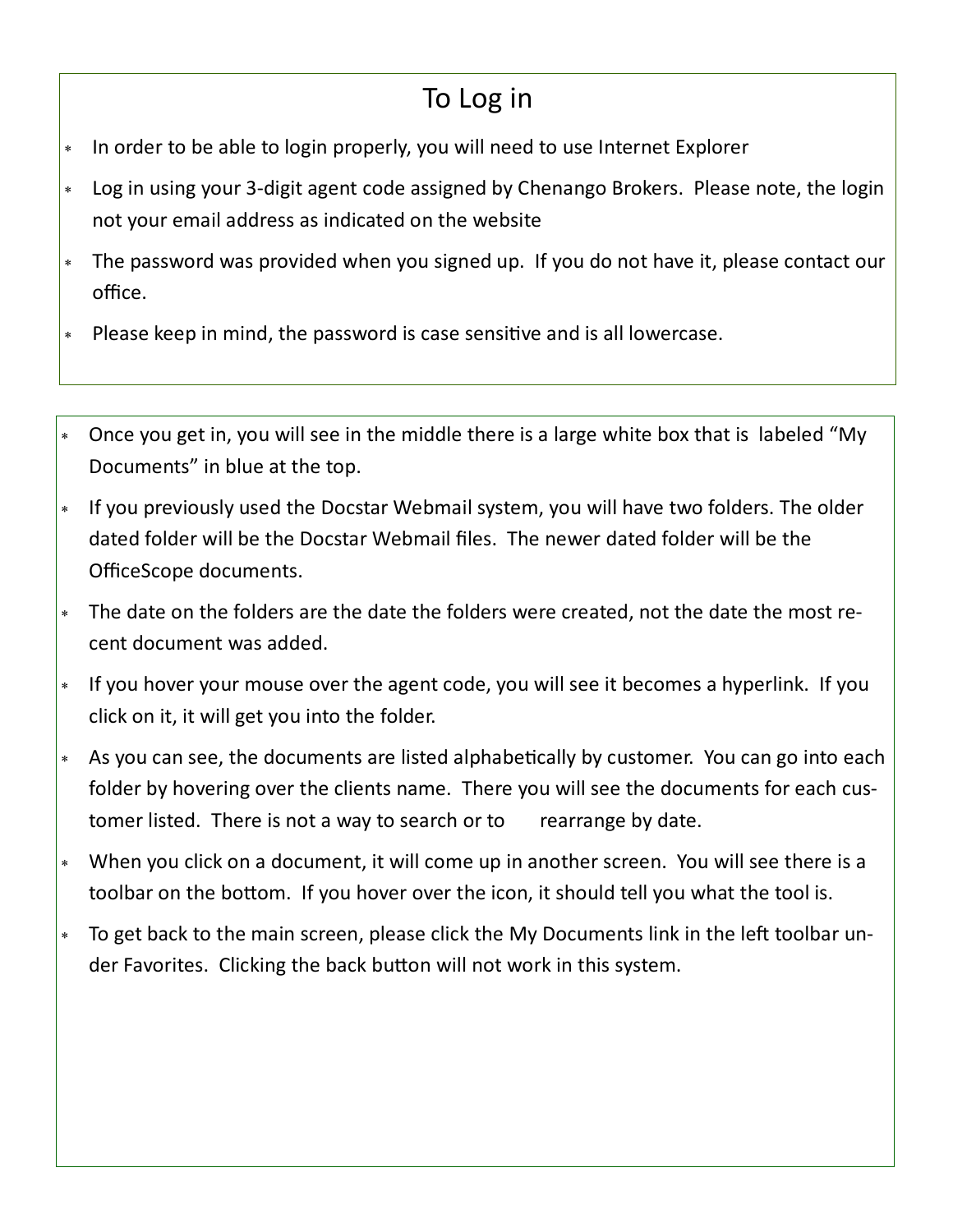## To Log in

- In order to be able to login properly, you will need to use Internet Explorer
- Log in using your 3-digit agent code assigned by Chenango Brokers. Please note, the login not your email address as indicated on the website
- The password was provided when you signed up. If you do not have it, please contact our office.
- Please keep in mind, the password is case sensitive and is all lowercase.
- Once you get in, you will see in the middle there is a large white box that is labeled "My Documents" in blue at the top.
- If you previously used the Docstar Webmail system, you will have two folders. The older dated folder will be the Docstar Webmail files. The newer dated folder will be the OfficeScope documents.
- The date on the folders are the date the folders were created, not the date the most recent document was added.
- \* If you hover your mouse over the agent code, you will see it becomes a hyperlink. If you click on it, it will get you into the folder.
- As you can see, the documents are listed alphabetically by customer. You can go into each folder by hovering over the clients name. There you will see the documents for each customer listed. There is not a way to search or to rearrange by date.
- When you click on a document, it will come up in another screen. You will see there is a toolbar on the bottom. If you hover over the icon, it should tell you what the tool is.
- To get back to the main screen, please click the My Documents link in the left toolbar under Favorites. Clicking the back button will not work in this system.